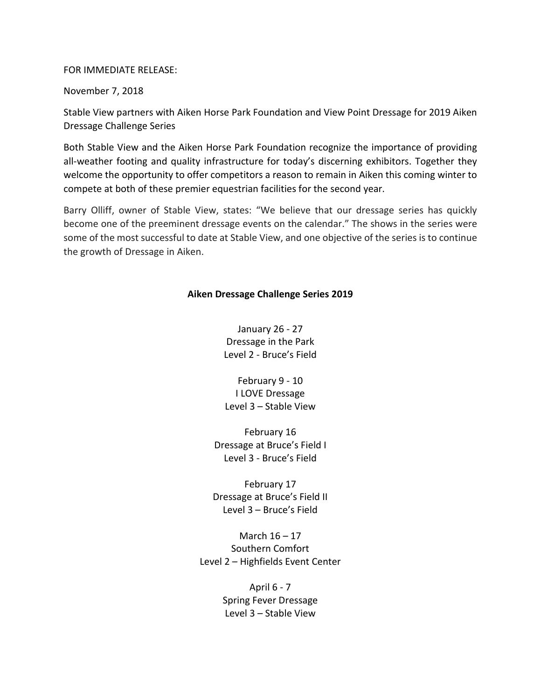## FOR IMMEDIATE RELEASE:

November 7, 2018

Stable View partners with Aiken Horse Park Foundation and View Point Dressage for 2019 Aiken Dressage Challenge Series

Both Stable View and the Aiken Horse Park Foundation recognize the importance of providing all-weather footing and quality infrastructure for today's discerning exhibitors. Together they welcome the opportunity to offer competitors a reason to remain in Aiken this coming winter to compete at both of these premier equestrian facilities for the second year.

Barry Olliff, owner of Stable View, states: "We believe that our dressage series has quickly become one of the preeminent dressage events on the calendar." The shows in the series were some of the most successful to date at Stable View, and one objective of the series is to continue the growth of Dressage in Aiken.

## **Aiken Dressage Challenge Series 2019**

January 26 - 27 Dressage in the Park Level 2 - Bruce's Field

February 9 - 10 I LOVE Dressage Level 3 – Stable View

February 16 Dressage at Bruce's Field I Level 3 - Bruce's Field

February 17 Dressage at Bruce's Field II Level 3 – Bruce's Field

March 16 – 17 Southern Comfort Level 2 – Highfields Event Center

> April 6 - 7 Spring Fever Dressage Level 3 – Stable View